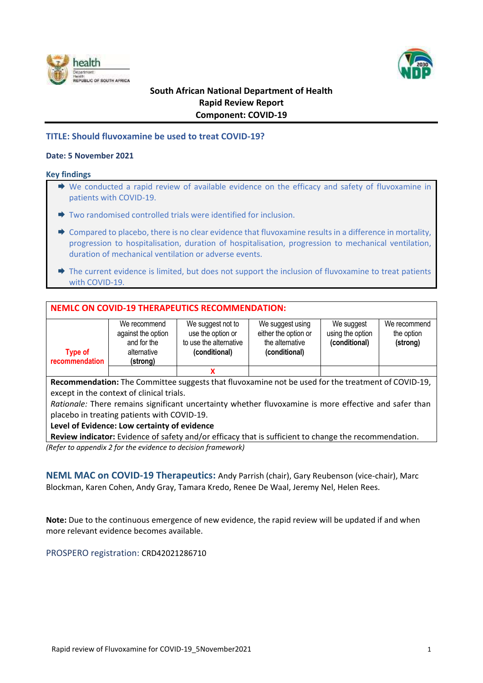



# **South African National Department of Health Rapid Review Report Component: COVID-19**

# **TITLE: Should fluvoxamine be used to treat COVID-19?**

# **Date: 5 November 2021**

#### **Key findings**

- ◆ We conducted a rapid review of available evidence on the efficacy and safety of fluvoxamine in patients with COVID-19.
- $\rightarrow$  Two randomised controlled trials were identified for inclusion.
- $\rightarrow$  Compared to placebo, there is no clear evidence that fluvoxamine results in a difference in mortality, progression to hospitalisation, duration of hospitalisation, progression to mechanical ventilation, duration of mechanical ventilation or adverse events.
- $\Rightarrow$  The current evidence is limited, but does not support the inclusion of fluvoxamine to treat patients with COVID-19.

# **NEMLC ON COVID-19 THERAPEUTICS RECOMMENDATION:**

|                                  | We recommend<br>against the option     | We suggest not to<br>use the option or  | We suggest using<br>either the option or | We suggest<br>using the option | We recommend<br>the option |
|----------------------------------|----------------------------------------|-----------------------------------------|------------------------------------------|--------------------------------|----------------------------|
| <b>Type of</b><br>recommendation | and for the<br>alternative<br>(strong) | to use the alternative<br>(conditional) | the alternative<br>(conditional)         | (conditional)                  | (strong)                   |
|                                  |                                        |                                         |                                          |                                |                            |

**Recommendation:** The Committee suggests that fluvoxamine not be used for the treatment of COVID-19, except in the context of clinical trials.

*Rationale:* There remains significant uncertainty whether fluvoxamine is more effective and safer than placebo in treating patients with COVID-19.

### **Level of Evidence: Low certainty of evidence**

**Review indicator:** Evidence of safety and/or efficacy that is sufficient to change the recommendation. *(Refer to appendix 2 for the evidence to decision framework)*

**NEML MAC on COVID-19 Therapeutics:** Andy Parrish (chair), Gary Reubenson (vice-chair), Marc Blockman, Karen Cohen, Andy Gray, Tamara Kredo, Renee De Waal, Jeremy Nel, Helen Rees.

**Note:** Due to the continuous emergence of new evidence, the rapid review will be updated if and when more relevant evidence becomes available.

PROSPERO registration: CRD42021286710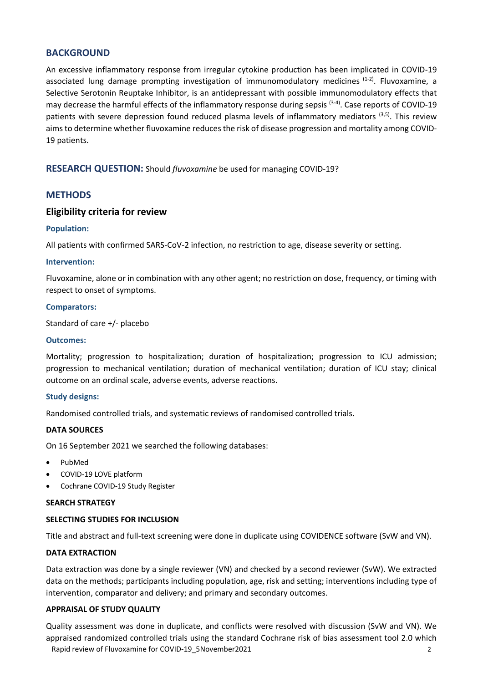# **BACKGROUND**

An excessive inflammatory response from irregular cytokine production has been implicated in COVID-19 associated lung damage prompting investigation of immunomodulatory medicines <sup>(1-2)</sup>. Fluvoxamine, a Selective Serotonin Reuptake Inhibitor, is an antidepressant with possible immunomodulatory effects that may decrease the harmful effects of the inflammatory response during sepsis <sup>(3-4)</sup>. Case reports of COVID-19 patients with severe depression found reduced plasma levels of inflammatory mediators <sup>(3,5)</sup>. This review aims to determine whether fluvoxamine reduces the risk of disease progression and mortality among COVID-19 patients.

**RESEARCH QUESTION:** Should *fluvoxamine* be used for managing COVID-19?

# **METHODS**

# **Eligibility criteria for review**

#### **Population:**

All patients with confirmed SARS-CoV-2 infection, no restriction to age, disease severity or setting.

#### **Intervention:**

Fluvoxamine, alone or in combination with any other agent; no restriction on dose, frequency, or timing with respect to onset of symptoms.

#### **Comparators:**

Standard of care +/- placebo

#### **Outcomes:**

Mortality; progression to hospitalization; duration of hospitalization; progression to ICU admission; progression to mechanical ventilation; duration of mechanical ventilation; duration of ICU stay; clinical outcome on an ordinal scale, adverse events, adverse reactions.

### **Study designs:**

Randomised controlled trials, and systematic reviews of randomised controlled trials.

#### **DATA SOURCES**

On 16 September 2021 we searched the following databases:

- PubMed
- COVID-19 LOVE platform
- Cochrane COVID-19 Study Register

#### **SEARCH STRATEGY**

### **SELECTING STUDIES FOR INCLUSION**

Title and abstract and full-text screening were done in duplicate using COVIDENCE software (SvW and VN).

### **DATA EXTRACTION**

Data extraction was done by a single reviewer (VN) and checked by a second reviewer (SvW). We extracted data on the methods; participants including population, age, risk and setting; interventions including type of intervention, comparator and delivery; and primary and secondary outcomes.

#### **APPRAISAL OF STUDY QUALITY**

Rapid review of Fluvoxamine for COVID-19 5November2021 2001 2003 Quality assessment was done in duplicate, and conflicts were resolved with discussion (SvW and VN). We appraised randomized controlled trials using the standard Cochrane risk of bias assessment tool 2.0 which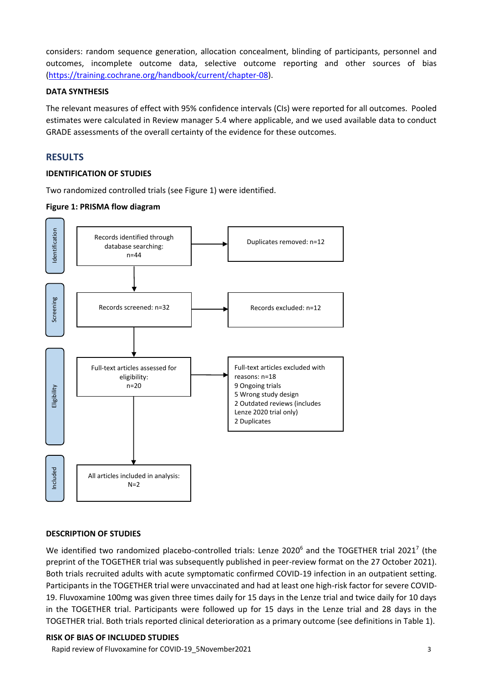considers: random sequence generation, allocation concealment, blinding of participants, personnel and outcomes, incomplete outcome data, selective outcome reporting and other sources of bias [\(https://training.cochrane.org/handbook/current/chapter-08\)](https://training.cochrane.org/handbook/current/chapter-08).

### **DATA SYNTHESIS**

The relevant measures of effect with 95% confidence intervals (CIs) were reported for all outcomes. Pooled estimates were calculated in Review manager 5.4 where applicable, and we used available data to conduct GRADE assessments of the overall certainty of the evidence for these outcomes.

# **RESULTS**

# **IDENTIFICATION OF STUDIES**

Two randomized controlled trials (see Figure 1) were identified.

# **Figure 1: PRISMA flow diagram**



### **DESCRIPTION OF STUDIES**

We identified two randomized placebo-controlled trials: Lenze 2020<sup>6</sup> and the TOGETHER trial 2021<sup>7</sup> (the preprint of the TOGETHER trial was subsequently published in peer-review format on the 27 October 2021). Both trials recruited adults with acute symptomatic confirmed COVID-19 infection in an outpatient setting. Participants in the TOGETHER trial were unvaccinated and had at least one high-risk factor for severe COVID-19. Fluvoxamine 100mg was given three times daily for 15 days in the Lenze trial and twice daily for 10 days in the TOGETHER trial. Participants were followed up for 15 days in the Lenze trial and 28 days in the TOGETHER trial. Both trials reported clinical deterioration as a primary outcome (see definitions in Table 1).

Rapid review of Fluvoxamine for COVID-19 5November2021 3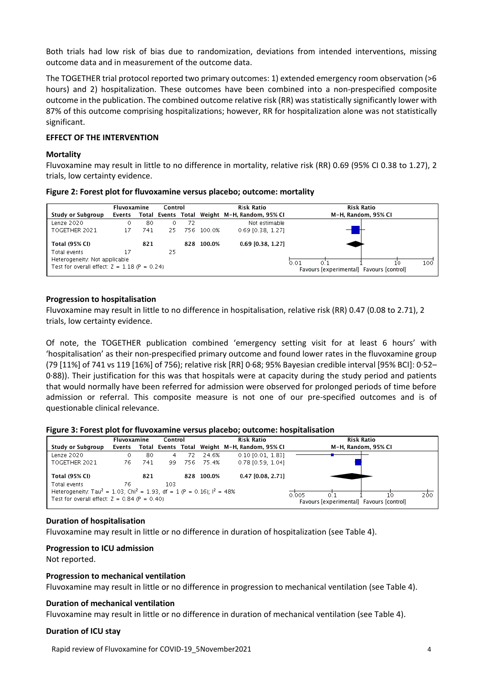Both trials had low risk of bias due to randomization, deviations from intended interventions, missing outcome data and in measurement of the outcome data.

The TOGETHER trial protocol reported two primary outcomes: 1) extended emergency room observation (>6 hours) and 2) hospitalization. These outcomes have been combined into a non-prespecified composite outcome in the publication. The combined outcome relative risk (RR) was statistically significantly lower with 87% of this outcome comprising hospitalizations; however, RR for hospitalization alone was not statistically significant.

# **EFFECT OF THE INTERVENTION**

#### **Mortality**

Fluvoxamine may result in little to no difference in mortality, relative risk (RR) 0.69 (95% CI 0.38 to 1.27), 2 trials, low certainty evidence.

|                                                | Fluvoxamine |     | Control |    |            | <b>Risk Ratio</b>                             | <b>Risk Ratio</b>                        |
|------------------------------------------------|-------------|-----|---------|----|------------|-----------------------------------------------|------------------------------------------|
| Study or Subgroup                              | Events      |     |         |    |            | Total Events Total Weight M-H, Random, 95% CI | M-H, Random, 95% CI                      |
| Lenze 2020                                     | 0.          | 80  | 0       | 72 |            | Not estimable                                 |                                          |
| TOGETHER 2021                                  | 17          | 741 | 25.     |    | 756 100.0% | $0.69$ [0.38, 1.27]                           |                                          |
| <b>Total (95% CI)</b>                          |             | 821 |         |    | 828 100.0% | 0.69 [0.38, 1.27]                             |                                          |
| Total events                                   | 17          |     | 25.     |    |            |                                               |                                          |
| Heterogeneity. Not applicable                  |             |     |         |    |            |                                               | 100<br>0.01                              |
| Test for overall effect: $Z = 1.18$ (P = 0.24) |             |     |         |    |            |                                               | Favours [experimental] Favours [control] |

#### **Progression to hospitalisation**

Fluvoxamine may result in little to no difference in hospitalisation, relative risk (RR) 0.47 (0.08 to 2.71), 2 trials, low certainty evidence.

Of note, the TOGETHER publication combined 'emergency setting visit for at least 6 hours' with 'hospitalisation' as their non-prespecified primary outcome and found lower rates in the fluvoxamine group (79 [11%] of 741 vs 119 [16%] of 756); relative risk [RR] 0·68; 95% Bayesian credible interval [95% BCI]: 0·52– 0·88)). Their justification for this was that hospitals were at capacity during the study period and patients that would normally have been referred for admission were observed for prolonged periods of time before admission or referral. This composite measure is not one of our pre-specified outcomes and is of questionable clinical relevance.

|  |  |  | Figure 3: Forest plot for fluvoxamine versus placebo; outcome: hospitalisation |
|--|--|--|--------------------------------------------------------------------------------|
|  |  |  |                                                                                |

|                                                                                                                                                                   |        | Control<br>Fluvoxamine |     |     |            | <b>Risk Ratio</b>                            | Risk Ratio                                                            |
|-------------------------------------------------------------------------------------------------------------------------------------------------------------------|--------|------------------------|-----|-----|------------|----------------------------------------------|-----------------------------------------------------------------------|
| Study or Subgroup                                                                                                                                                 | Events |                        |     |     |            | Total Events Total Weight M-H.Random. 95% CI | M-H. Random, 95% CI                                                   |
| Lenze 2020                                                                                                                                                        |        | 80                     | 4   | 72. | 24.6%      | $0.10$ [0.01, 1.83]                          |                                                                       |
| TOGETHER 2021                                                                                                                                                     | 76     | 741                    | 99. |     | 756 75.4%  | 0.78 [0.59, 1.04]                            |                                                                       |
| <b>Total (95% CI)</b>                                                                                                                                             |        | 821                    |     |     | 828 100.0% | $0.47$ [0.08, 2.71]                          |                                                                       |
| Total events<br>Heterogeneity: Tau <sup>2</sup> = 1.03; Chi <sup>2</sup> = 1.93, df = 1 (P = 0.16); $I^2$ = 48%<br>Test for overall effect: $Z = 0.84$ (P = 0.40) | 76     |                        | 103 |     |            |                                              | 200<br>0.005<br>O 1<br>10<br>Favours [experimental] Favours [control] |

#### **Duration of hospitalisation**

Fluvoxamine may result in little or no difference in duration of hospitalization (see Table 4).

#### **Progression to ICU admission**

Not reported.

#### **Progression to mechanical ventilation**

Fluvoxamine may result in little or no difference in progression to mechanical ventilation (see Table 4).

#### **Duration of mechanical ventilation**

Fluvoxamine may result in little or no difference in duration of mechanical ventilation (see Table 4).

#### **Duration of ICU stay**

Rapid review of Fluvoxamine for COVID-19\_5November2021 4 and the control of the control of the control of the control of the control of the control of the control of the control of the control of the control of the control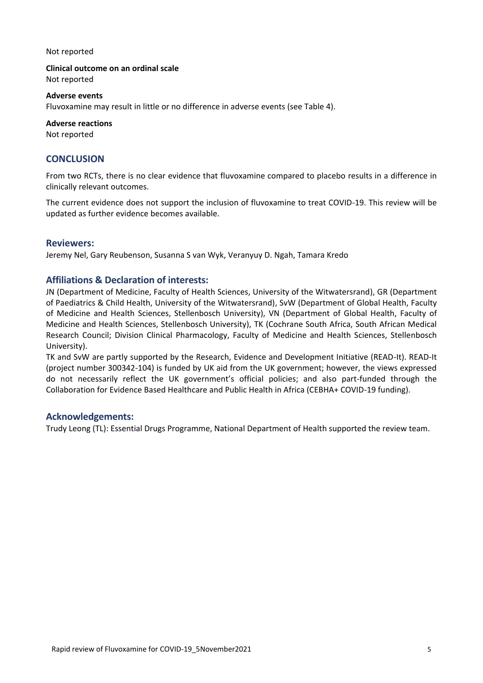#### Not reported

**Clinical outcome on an ordinal scale**

Not reported

#### **Adverse events**

Fluvoxamine may result in little or no difference in adverse events (see Table 4).

# **Adverse reactions**

Not reported

# **CONCLUSION**

From two RCTs, there is no clear evidence that fluvoxamine compared to placebo results in a difference in clinically relevant outcomes.

The current evidence does not support the inclusion of fluvoxamine to treat COVID-19. This review will be updated as further evidence becomes available.

### **Reviewers:**

Jeremy Nel, Gary Reubenson, Susanna S van Wyk, Veranyuy D. Ngah, Tamara Kredo

# **Affiliations & Declaration of interests:**

JN (Department of Medicine, Faculty of Health Sciences, University of the Witwatersrand), GR (Department of Paediatrics & Child Health, University of the Witwatersrand), SvW (Department of Global Health, Faculty of Medicine and Health Sciences, Stellenbosch University), VN (Department of Global Health, Faculty of Medicine and Health Sciences, Stellenbosch University), TK (Cochrane South Africa, South African Medical Research Council; Division Clinical Pharmacology, Faculty of Medicine and Health Sciences, Stellenbosch University).

TK and SvW are partly supported by the Research, Evidence and Development Initiative (READ-It). READ-It (project number 300342-104) is funded by UK aid from the UK government; however, the views expressed do not necessarily reflect the UK government's official policies; and also part-funded through the Collaboration for Evidence Based Healthcare and Public Health in Africa (CEBHA+ COVID-19 funding).

### **Acknowledgements:**

Trudy Leong (TL): Essential Drugs Programme, National Department of Health supported the review team.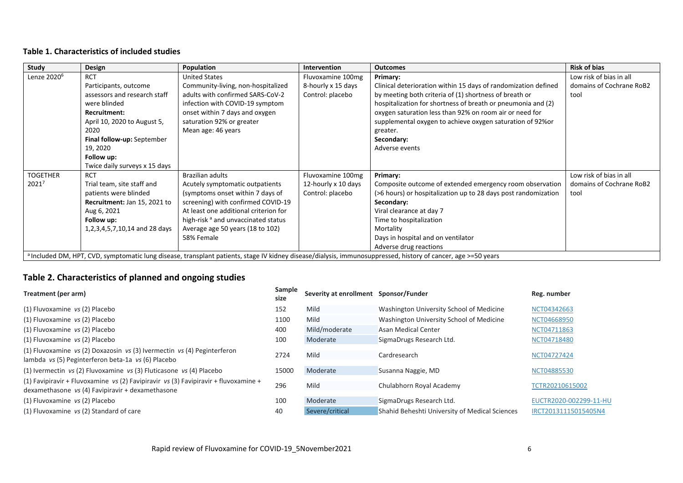# **Table 1. Characteristics of included studies**

| Study                   | Design                        | Population                                     | <b>Intervention</b> | <b>Outcomes</b>                                                                                                                                               | <b>Risk of bias</b>      |
|-------------------------|-------------------------------|------------------------------------------------|---------------------|---------------------------------------------------------------------------------------------------------------------------------------------------------------|--------------------------|
| Lenze 2020 <sup>6</sup> | <b>RCT</b>                    | <b>United States</b>                           | Fluvoxamine 100mg   | Primary:                                                                                                                                                      | Low risk of bias in all  |
|                         | Participants, outcome         | Community-living, non-hospitalized             | 8-hourly x 15 days  | Clinical deterioration within 15 days of randomization defined                                                                                                | domains of Cochrane RoB2 |
|                         | assessors and research staff  | adults with confirmed SARS-CoV-2               | Control: placebo    | by meeting both criteria of (1) shortness of breath or                                                                                                        | tool                     |
|                         | were blinded                  | infection with COVID-19 symptom                |                     | hospitalization for shortness of breath or pneumonia and (2)                                                                                                  |                          |
|                         | Recruitment:                  | onset within 7 days and oxygen                 |                     | oxygen saturation less than 92% on room air or need for                                                                                                       |                          |
|                         | April 10, 2020 to August 5,   | saturation 92% or greater                      |                     | supplemental oxygen to achieve oxygen saturation of 92% or                                                                                                    |                          |
|                         | 2020                          | Mean age: 46 years                             |                     | greater.                                                                                                                                                      |                          |
|                         | Final follow-up: September    |                                                |                     | Secondary:                                                                                                                                                    |                          |
|                         | 19, 2020                      |                                                |                     | Adverse events                                                                                                                                                |                          |
|                         | Follow up:                    |                                                |                     |                                                                                                                                                               |                          |
|                         | Twice daily surveys x 15 days |                                                |                     |                                                                                                                                                               |                          |
| <b>TOGETHER</b>         | <b>RCT</b>                    | <b>Brazilian adults</b>                        | Fluvoxamine 100mg   | Primary:                                                                                                                                                      | Low risk of bias in all  |
| 20217                   | Trial team, site staff and    | Acutely symptomatic outpatients                | 12-hourly x 10 days | Composite outcome of extended emergency room observation                                                                                                      | domains of Cochrane RoB2 |
|                         | patients were blinded         | (symptoms onset within 7 days of               | Control: placebo    | (>6 hours) or hospitalization up to 28 days post randomization                                                                                                | tool                     |
|                         | Recruitment: Jan 15, 2021 to  | screening) with confirmed COVID-19             |                     | Secondary:                                                                                                                                                    |                          |
|                         | Aug 6, 2021                   | At least one additional criterion for          |                     | Viral clearance at day 7                                                                                                                                      |                          |
|                         | Follow up:                    | high-risk <sup>a</sup> and unvaccinated status |                     | Time to hospitalization                                                                                                                                       |                          |
|                         | 1,2,3,4,5,7,10,14 and 28 days | Average age 50 years (18 to 102)               |                     | Mortality                                                                                                                                                     |                          |
|                         |                               | 58% Female                                     |                     | Days in hospital and on ventilator                                                                                                                            |                          |
|                         |                               |                                                |                     | Adverse drug reactions                                                                                                                                        |                          |
|                         |                               |                                                |                     | a Included DM, HPT, CVD, symptomatic lung disease, transplant patients, stage IV kidney disease/dialysis, immunosuppressed, history of cancer, age >=50 years |                          |

# **Table 2. Characteristics of planned and ongoing studies**

| Treatment (per arm)                                                                                                                       | Sample<br>size | Severity at enrollment Sponsor/Funder |                                                | Reg. number            |
|-------------------------------------------------------------------------------------------------------------------------------------------|----------------|---------------------------------------|------------------------------------------------|------------------------|
| (1) Fluvoxamine vs (2) Placebo                                                                                                            | 152            | Mild                                  | Washington University School of Medicine       | NCT04342663            |
| (1) Fluvoxamine vs (2) Placebo                                                                                                            | 1100           | Mild                                  | Washington University School of Medicine       | NCT04668950            |
| (1) Fluvoxamine vs (2) Placebo                                                                                                            | 400            | Mild/moderate                         | Asan Medical Center                            | NCT04711863            |
| (1) Fluvoxamine vs (2) Placebo                                                                                                            | 100            | Moderate                              | SigmaDrugs Research Ltd.                       | NCT04718480            |
| (1) Fluvoxamine vs (2) Doxazosin vs (3) Ivermectin vs (4) Peginterferon<br>lambda vs (5) Peginterferon beta-1a vs (6) Placebo             | 2724           | Mild                                  | Cardresearch                                   | NCT04727424            |
| $(1)$ Ivermectin vs (2) Fluvoxamine vs (3) Fluticasone vs (4) Placebo                                                                     | 15000          | Moderate                              | Susanna Naggie, MD                             | NCT04885530            |
| (1) Favipiravir + Fluvoxamine $vs(2)$ Favipiravir $vs(3)$ Favipiravir + fluvoxamine +<br>dexamethasone vs (4) Favipiravir + dexamethasone | 296            | Mild                                  | Chulabhorn Royal Academy                       | TCTR20210615002        |
| (1) Fluvoxamine vs (2) Placebo                                                                                                            | 100            | Moderate                              | SigmaDrugs Research Ltd.                       | EUCTR2020-002299-11-HU |
| (1) Fluvoxamine vs (2) Standard of care                                                                                                   | 40             | Severe/critical                       | Shahid Beheshti University of Medical Sciences | IRCT20131115015405N4   |
|                                                                                                                                           |                |                                       |                                                |                        |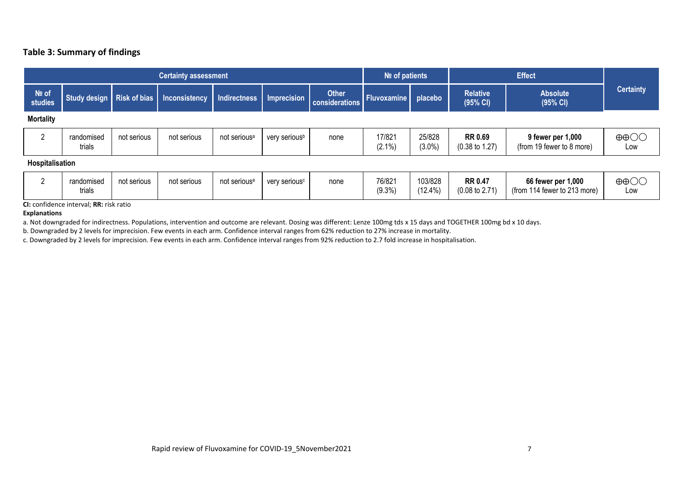# **Table 3: Summary of findings**

| <b>Certainty assessment</b> |                      |             |                                         |                          |                           |                                |                     | $N2$ of patients    |                                             | <b>Effect</b>                                  |                          |  |
|-----------------------------|----------------------|-------------|-----------------------------------------|--------------------------|---------------------------|--------------------------------|---------------------|---------------------|---------------------------------------------|------------------------------------------------|--------------------------|--|
| Nº of<br>studies            |                      |             | Study design Risk of bias Inconsistency | Indirectness Imprecision |                           | <b>Other</b><br>considerations | Fluvoxamine placebo |                     | <b>Relative</b><br>(95% CI)                 | <b>Absolute</b><br>(95% CI)                    | <b>Certainty</b>         |  |
| <b>Mortality</b>            |                      |             |                                         |                          |                           |                                |                     |                     |                                             |                                                |                          |  |
| റ                           | randomised<br>trials | not serious | not serious                             | not serious <sup>a</sup> | very serious <sup>b</sup> | none                           | 17/821<br>$(2.1\%)$ | 25/828<br>$(3.0\%)$ | <b>RR 0.69</b><br>$(0.38 \text{ to } 1.27)$ | 9 fewer per 1,000<br>(from 19 fewer to 8 more) | $\oplus$ $\oplus$<br>Low |  |
| Hospitalisation             |                      |             |                                         |                          |                           |                                |                     |                     |                                             |                                                |                          |  |

|  | randomised<br>.<br>trials | not serious | not serious | not serious <sup>a</sup> | very serious <sup>c</sup> | none | 76/821<br>$(9.3\%)$ | 103/828<br>12.4%<br>140 | <b>RR 0.47</b><br>$(0.08 \text{ to } 2.71)$ | 66 fewer per 1,000<br>114 fewer to 213 more)<br>(from | $\oplus \oplus \bigcirc \bigcirc$<br>LOW |
|--|---------------------------|-------------|-------------|--------------------------|---------------------------|------|---------------------|-------------------------|---------------------------------------------|-------------------------------------------------------|------------------------------------------|
|--|---------------------------|-------------|-------------|--------------------------|---------------------------|------|---------------------|-------------------------|---------------------------------------------|-------------------------------------------------------|------------------------------------------|

**CI:** confidence interval; **RR:** risk ratio

**Explanations**

a. Not downgraded for indirectness. Populations, intervention and outcome are relevant. Dosing was different: Lenze 100mg tds x 15 days and TOGETHER 100mg bd x 10 days.

b. Downgraded by 2 levels for imprecision. Few events in each arm. Confidence interval ranges from 62% reduction to 27% increase in mortality.

c. Downgraded by 2 levels for imprecision. Few events in each arm. Confidence interval ranges from 92% reduction to 2.7 fold increase in hospitalisation.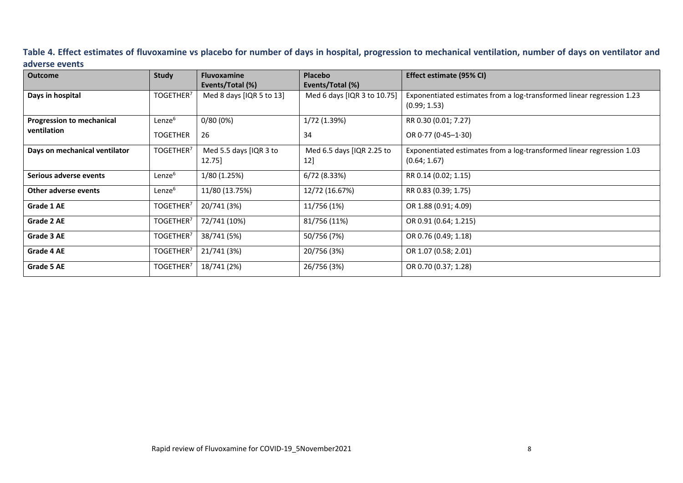# **Table 4. Effect estimates of fluvoxamine vs placebo for number of days in hospital, progression to mechanical ventilation, number of days on ventilator and adverse events**

| <b>Outcome</b>                   | <b>Study</b>          | <b>Fluvoxamine</b>       | Placebo                     | Effect estimate (95% CI)                                                              |
|----------------------------------|-----------------------|--------------------------|-----------------------------|---------------------------------------------------------------------------------------|
|                                  |                       | Events/Total (%)         | Events/Total (%)            |                                                                                       |
| Days in hospital                 | TOGETHER <sup>7</sup> | Med 8 days [IQR 5 to 13] | Med 6 days [IQR 3 to 10.75] | Exponentiated estimates from a log-transformed linear regression 1.23<br>(0.99; 1.53) |
| <b>Progression to mechanical</b> | Lenze <sup>6</sup>    | 0/80(0%)                 | 1/72 (1.39%)                | RR 0.30 (0.01; 7.27)                                                                  |
| ventilation                      | <b>TOGETHER</b>       | 26                       | 34                          | OR $0.77$ (0.45-1.30)                                                                 |
| Days on mechanical ventilator    | TOGETHER <sup>7</sup> | Med 5.5 days [IQR 3 to   | Med 6.5 days [IQR 2.25 to   | Exponentiated estimates from a log-transformed linear regression 1.03                 |
|                                  |                       | 12.75]                   | 12]                         | (0.64; 1.67)                                                                          |
| Serious adverse events           | Lenze <sup>6</sup>    | 1/80 (1.25%)             | 6/72 (8.33%)                | RR 0.14 (0.02; 1.15)                                                                  |
| Other adverse events             | Lenze <sup>6</sup>    | 11/80 (13.75%)           | 12/72 (16.67%)              | RR 0.83 (0.39; 1.75)                                                                  |
| Grade 1 AE                       | TOGETHER <sup>7</sup> | 20/741 (3%)              | 11/756 (1%)                 | OR 1.88 (0.91; 4.09)                                                                  |
| Grade 2 AE                       | TOGETHER <sup>7</sup> | 72/741 (10%)             | 81/756 (11%)                | OR 0.91 (0.64; 1.215)                                                                 |
| Grade 3 AE                       | TOGETHER <sup>7</sup> | 38/741 (5%)              | 50/756 (7%)                 | OR 0.76 (0.49; 1.18)                                                                  |
| Grade 4 AE                       | TOGETHER <sup>7</sup> | 21/741 (3%)              | 20/756 (3%)                 | OR 1.07 (0.58; 2.01)                                                                  |
| Grade 5 AE                       | TOGETHER <sup>7</sup> | 18/741 (2%)              | 26/756 (3%)                 | OR 0.70 (0.37; 1.28)                                                                  |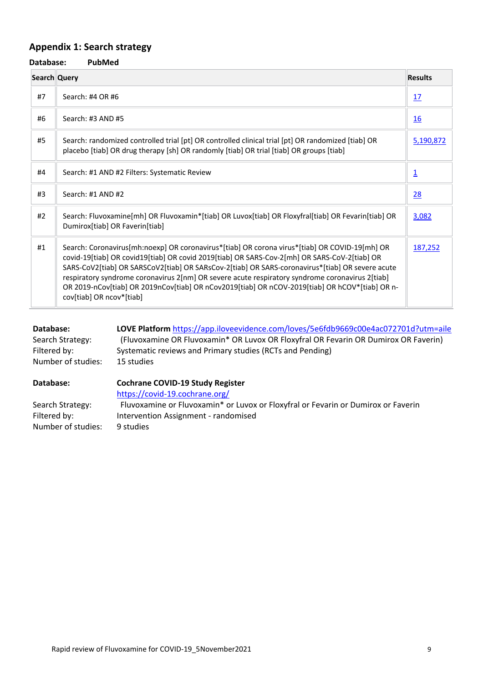# **Appendix 1: Search strategy**

| Database:    | <b>PubMed</b>                                                                                                                                                                                                                                                                                                                                                                                                                                                                                                                     |                |
|--------------|-----------------------------------------------------------------------------------------------------------------------------------------------------------------------------------------------------------------------------------------------------------------------------------------------------------------------------------------------------------------------------------------------------------------------------------------------------------------------------------------------------------------------------------|----------------|
| Search Query |                                                                                                                                                                                                                                                                                                                                                                                                                                                                                                                                   | <b>Results</b> |
| #7           | Search: #4 OR #6                                                                                                                                                                                                                                                                                                                                                                                                                                                                                                                  | 17             |
| #6           | Search: #3 AND #5                                                                                                                                                                                                                                                                                                                                                                                                                                                                                                                 | 16             |
| #5           | Search: randomized controlled trial [pt] OR controlled clinical trial [pt] OR randomized [tiab] OR<br>placebo [tiab] OR drug therapy [sh] OR randomly [tiab] OR trial [tiab] OR groups [tiab]                                                                                                                                                                                                                                                                                                                                     | 5,190,872      |
| #4           | Search: #1 AND #2 Filters: Systematic Review                                                                                                                                                                                                                                                                                                                                                                                                                                                                                      | $\overline{1}$ |
| #3           | Search: #1 AND #2                                                                                                                                                                                                                                                                                                                                                                                                                                                                                                                 | 28             |
| #2           | Search: Fluvoxamine[mh] OR Fluvoxamin*[tiab] OR Luvox[tiab] OR Floxyfral[tiab] OR Fevarin[tiab] OR<br>Dumirox[tiab] OR Faverin[tiab]                                                                                                                                                                                                                                                                                                                                                                                              | 3,082          |
| #1           | Search: Coronavirus[mh:noexp] OR coronavirus*[tiab] OR corona virus*[tiab] OR COVID-19[mh] OR<br>covid-19[tiab] OR covid19[tiab] OR covid 2019[tiab] OR SARS-Cov-2[mh] OR SARS-CoV-2[tiab] OR<br>SARS-CoV2[tiab] OR SARSCoV2[tiab] OR SARsCov-2[tiab] OR SARS-coronavirus*[tiab] OR severe acute<br>respiratory syndrome coronavirus 2[nm] OR severe acute respiratory syndrome coronavirus 2[tiab]<br>OR 2019-nCov[tiab] OR 2019nCov[tiab] OR nCov2019[tiab] OR nCOV-2019[tiab] OR hCOV*[tiab] OR n-<br>cov[tiab] OR ncov*[tiab] | 187,252        |

| Database:          | LOVE Platform https://app.iloveevidence.com/loves/5e6fdb9669c00e4ac072701d?utm=aile |
|--------------------|-------------------------------------------------------------------------------------|
| Search Strategy:   | (Fluvoxamine OR Fluvoxamin* OR Luvox OR Floxyfral OR Fevarin OR Dumirox OR Faverin) |
| Filtered by:       | Systematic reviews and Primary studies (RCTs and Pending)                           |
| Number of studies: | 15 studies                                                                          |

| Database:          | <b>Cochrane COVID-19 Study Register</b>                                           |  |
|--------------------|-----------------------------------------------------------------------------------|--|
|                    | https://covid-19.cochrane.org/                                                    |  |
| Search Strategy:   | Fluvoxamine or Fluvoxamin* or Luvox or Floxyfral or Fevarin or Dumirox or Faverin |  |
| Filtered by:       | Intervention Assignment - randomised                                              |  |
| Number of studies: | 9 studies                                                                         |  |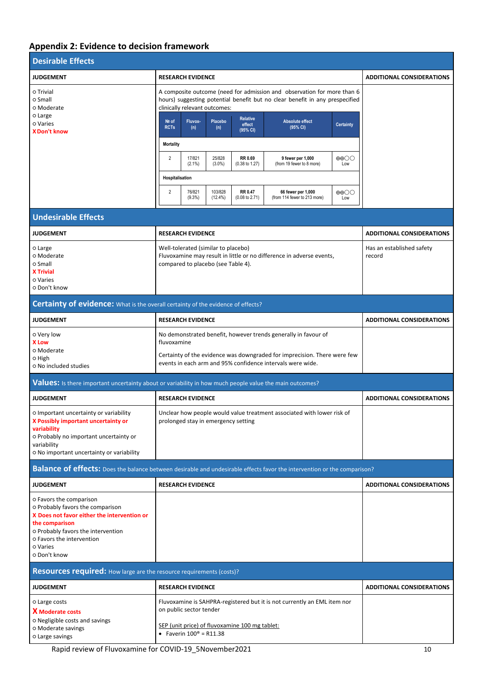# **Appendix 2: Evidence to decision framework**

| <b>Desirable Effects</b>                                                                                                                                                                                                    |                                                                                                                                                                                                                                                                                                                                                                                                                                                                                                                                                                                                                                                                                                                                                                                         |                                     |
|-----------------------------------------------------------------------------------------------------------------------------------------------------------------------------------------------------------------------------|-----------------------------------------------------------------------------------------------------------------------------------------------------------------------------------------------------------------------------------------------------------------------------------------------------------------------------------------------------------------------------------------------------------------------------------------------------------------------------------------------------------------------------------------------------------------------------------------------------------------------------------------------------------------------------------------------------------------------------------------------------------------------------------------|-------------------------------------|
| <b>JUDGEMENT</b>                                                                                                                                                                                                            | <b>RESEARCH EVIDENCE</b>                                                                                                                                                                                                                                                                                                                                                                                                                                                                                                                                                                                                                                                                                                                                                                | <b>ADDITIONAL CONSIDERATIONS</b>    |
| o Trivial<br>o Small<br>o Moderate<br>o Large<br>o Varies<br><b>XDon't know</b>                                                                                                                                             | A composite outcome (need for admission and observation for more than 6<br>hours) suggesting potential benefit but no clear benefit in any prespecified<br>clinically relevant outcomes:<br><b>Relative</b><br>Nº of<br>Fluvox-<br>Placebo<br><b>Absolute effect</b><br>effect<br><b>Certainty</b><br><b>RCTs</b><br>(95% CI)<br>(n)<br>(n)<br>(95% CI)<br><b>Mortality</b><br>25/828<br>$\overline{2}$<br>17/821<br>RR 0.69<br>$\oplus$ $\oplus$<br>9 fewer per 1,000<br>$(2.1\%)$<br>$(3.0\%)$<br>(from 19 fewer to 8 more)<br>$(0.38 \text{ to } 1.27)$<br>Low<br>Hospitalisation<br>$\overline{2}$<br>76/821<br>103/828<br><b>RR 0.47</b><br>66 fewer per 1,000<br>$\oplus$ $\oplus$<br>$(9.3\%)$<br>(from 114 fewer to 213 more)<br>$(12.4\%)$<br>$(0.08 \text{ to } 2.71)$<br>Low |                                     |
| <b>Undesirable Effects</b>                                                                                                                                                                                                  |                                                                                                                                                                                                                                                                                                                                                                                                                                                                                                                                                                                                                                                                                                                                                                                         |                                     |
| <b>JUDGEMENT</b>                                                                                                                                                                                                            | <b>RESEARCH EVIDENCE</b>                                                                                                                                                                                                                                                                                                                                                                                                                                                                                                                                                                                                                                                                                                                                                                | <b>ADDITIONAL CONSIDERATIONS</b>    |
| o Large<br>o Moderate<br>o Small<br><b>X Trivial</b><br>o Varies<br>o Don't know                                                                                                                                            | Well-tolerated (similar to placebo)<br>Fluvoxamine may result in little or no difference in adverse events,<br>compared to placebo (see Table 4).                                                                                                                                                                                                                                                                                                                                                                                                                                                                                                                                                                                                                                       | Has an established safety<br>record |
| Certainty of evidence: What is the overall certainty of the evidence of effects?                                                                                                                                            |                                                                                                                                                                                                                                                                                                                                                                                                                                                                                                                                                                                                                                                                                                                                                                                         |                                     |
| <b>JUDGEMENT</b>                                                                                                                                                                                                            | <b>RESEARCH EVIDENCE</b>                                                                                                                                                                                                                                                                                                                                                                                                                                                                                                                                                                                                                                                                                                                                                                | <b>ADDITIONAL CONSIDERATIONS</b>    |
| o Very low<br><b>X</b> Low<br>o Moderate<br>0 High<br>O No included studies                                                                                                                                                 | No demonstrated benefit, however trends generally in favour of<br>fluvoxamine<br>Certainty of the evidence was downgraded for imprecision. There were few<br>events in each arm and 95% confidence intervals were wide.                                                                                                                                                                                                                                                                                                                                                                                                                                                                                                                                                                 |                                     |
|                                                                                                                                                                                                                             | Values: Is there important uncertainty about or variability in how much people value the main outcomes?                                                                                                                                                                                                                                                                                                                                                                                                                                                                                                                                                                                                                                                                                 |                                     |
| <b>JUDGEMENT</b>                                                                                                                                                                                                            | <b>RESEARCH EVIDENCE</b>                                                                                                                                                                                                                                                                                                                                                                                                                                                                                                                                                                                                                                                                                                                                                                | <b>ADDITIONAL CONSIDERATIONS</b>    |
| O Important uncertainty or variability<br>X Possibly important uncertainty or<br>variability<br>o Probably no important uncertainty or<br>variability<br>o No important uncertainty or variability                          | Unclear how people would value treatment associated with lower risk of<br>prolonged stay in emergency setting                                                                                                                                                                                                                                                                                                                                                                                                                                                                                                                                                                                                                                                                           |                                     |
|                                                                                                                                                                                                                             | Balance of effects: Does the balance between desirable and undesirable effects favor the intervention or the comparison?                                                                                                                                                                                                                                                                                                                                                                                                                                                                                                                                                                                                                                                                |                                     |
| <b>JUDGEMENT</b>                                                                                                                                                                                                            | <b>RESEARCH EVIDENCE</b>                                                                                                                                                                                                                                                                                                                                                                                                                                                                                                                                                                                                                                                                                                                                                                | <b>ADDITIONAL CONSIDERATIONS</b>    |
| O Favors the comparison<br>o Probably favors the comparison<br>X Does not favor either the intervention or<br>the comparison<br>o Probably favors the intervention<br>o Favors the intervention<br>o Varies<br>o Don't know |                                                                                                                                                                                                                                                                                                                                                                                                                                                                                                                                                                                                                                                                                                                                                                                         |                                     |
| Resources required: How large are the resource requirements (costs)?                                                                                                                                                        |                                                                                                                                                                                                                                                                                                                                                                                                                                                                                                                                                                                                                                                                                                                                                                                         |                                     |
| <b>JUDGEMENT</b>                                                                                                                                                                                                            | <b>RESEARCH EVIDENCE</b>                                                                                                                                                                                                                                                                                                                                                                                                                                                                                                                                                                                                                                                                                                                                                                | <b>ADDITIONAL CONSIDERATIONS</b>    |
| o Large costs<br><b>X</b> Moderate costs<br>o Negligible costs and savings<br>O Moderate savings<br>o Large savings                                                                                                         | Fluvoxamine is SAHPRA-registered but it is not currently an EML item nor<br>on public sector tender<br>SEP (unit price) of fluvoxamine 100 mg tablet:<br>• Faverin $100^{\circ}$ = R11.38                                                                                                                                                                                                                                                                                                                                                                                                                                                                                                                                                                                               |                                     |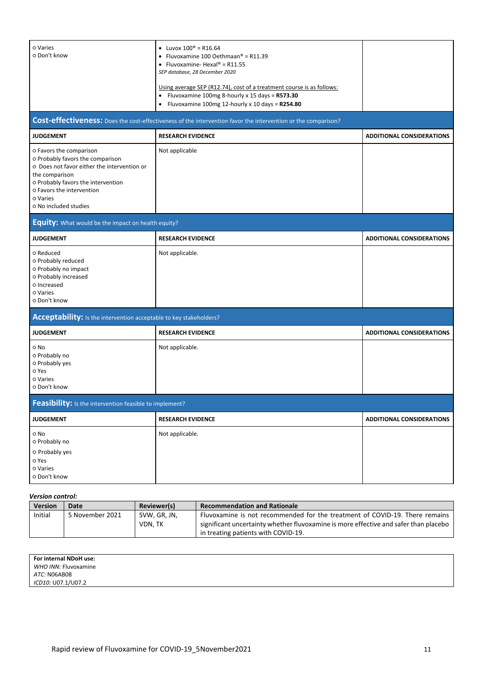| o Varies<br>o Don't know                                                                                                                                                                                                             | • Luvox $100^{\circ}$ = R16.64<br>• Fluvoxamine 100 Oethmaan® = R11.39<br>• Fluvoxamine-Hexal® = $R11.55$<br>SEP database, 28 December 2020<br>Using average SEP (R12.74), cost of a treatment course is as follows:<br>Fluvoxamine 100mg 8-hourly x 15 days = R573.30<br>$\bullet$<br>Fluvoxamine 100mg 12-hourly x 10 days = R254.80 |                                  |  |  |  |  |  |
|--------------------------------------------------------------------------------------------------------------------------------------------------------------------------------------------------------------------------------------|----------------------------------------------------------------------------------------------------------------------------------------------------------------------------------------------------------------------------------------------------------------------------------------------------------------------------------------|----------------------------------|--|--|--|--|--|
| Cost-effectiveness: Does the cost-effectiveness of the intervention favor the intervention or the comparison?                                                                                                                        |                                                                                                                                                                                                                                                                                                                                        |                                  |  |  |  |  |  |
| <b>JUDGEMENT</b>                                                                                                                                                                                                                     | <b>RESEARCH EVIDENCE</b>                                                                                                                                                                                                                                                                                                               | <b>ADDITIONAL CONSIDERATIONS</b> |  |  |  |  |  |
| o Favors the comparison<br>o Probably favors the comparison<br>O Does not favor either the intervention or<br>the comparison<br>o Probably favors the intervention<br>o Favors the intervention<br>o Varies<br>o No included studies | Not applicable                                                                                                                                                                                                                                                                                                                         |                                  |  |  |  |  |  |
| <b>Equity:</b> What would be the impact on health equity?                                                                                                                                                                            |                                                                                                                                                                                                                                                                                                                                        |                                  |  |  |  |  |  |
| <b>JUDGEMENT</b>                                                                                                                                                                                                                     | <b>RESEARCH EVIDENCE</b>                                                                                                                                                                                                                                                                                                               | <b>ADDITIONAL CONSIDERATIONS</b> |  |  |  |  |  |
| o Reduced<br>o Probably reduced<br>o Probably no impact<br>o Probably increased<br>o Increased<br>o Varies<br>o Don't know                                                                                                           | Not applicable.                                                                                                                                                                                                                                                                                                                        |                                  |  |  |  |  |  |
| Acceptability: Is the intervention acceptable to key stakeholders?                                                                                                                                                                   |                                                                                                                                                                                                                                                                                                                                        |                                  |  |  |  |  |  |
| <b>JUDGEMENT</b>                                                                                                                                                                                                                     | <b>RESEARCH EVIDENCE</b>                                                                                                                                                                                                                                                                                                               | <b>ADDITIONAL CONSIDERATIONS</b> |  |  |  |  |  |
| o No<br>o Probably no<br>o Probably yes<br>o Yes<br>o Varies<br>o Don't know                                                                                                                                                         | Not applicable.                                                                                                                                                                                                                                                                                                                        |                                  |  |  |  |  |  |
| Feasibility: Is the intervention feasible to implement?                                                                                                                                                                              |                                                                                                                                                                                                                                                                                                                                        |                                  |  |  |  |  |  |
| <b>JUDGEMENT</b>                                                                                                                                                                                                                     | <b>RESEARCH EVIDENCE</b>                                                                                                                                                                                                                                                                                                               | <b>ADDITIONAL CONSIDERATIONS</b> |  |  |  |  |  |
| o No<br>o Probably no<br>o Probably yes<br>o Yes<br>o Varies<br>o Don't know                                                                                                                                                         | Not applicable.                                                                                                                                                                                                                                                                                                                        |                                  |  |  |  |  |  |

#### *Version control:*

| .              |                 |                    |                                                                                      |  |  |  |  |
|----------------|-----------------|--------------------|--------------------------------------------------------------------------------------|--|--|--|--|
| <b>Version</b> | Date            | <b>Reviewer(s)</b> | <b>Recommendation and Rationale</b>                                                  |  |  |  |  |
| Initial        | 5 November 2021 | SVW. GR. JN.       | Fluvoxamine is not recommended for the treatment of COVID-19. There remains          |  |  |  |  |
|                |                 | VDN. TK            | significant uncertainty whether fluvoxamine is more effective and safer than placebo |  |  |  |  |
|                |                 |                    | in treating patients with COVID-19.                                                  |  |  |  |  |

| For internal NDoH use:<br>WHO INN: Fluvoxamine |  |
|------------------------------------------------|--|
| ATC: N06AB08                                   |  |
| ICD10: U07.1/U07.2                             |  |
|                                                |  |